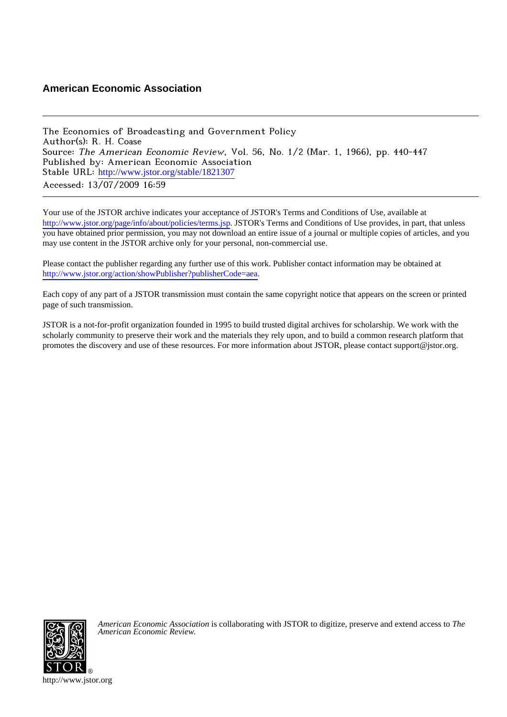# **American Economic Association**

The Economics of Broadcasting and Government Policy Author(s): R. H. Coase Source: The American Economic Review, Vol. 56, No. 1/2 (Mar. 1, 1966), pp. 440-447 Published by: American Economic Association Stable URL: [http://www.jstor.org/stable/1821307](http://www.jstor.org/stable/1821307?origin=JSTOR-pdf) Accessed: 13/07/2009 16:59

Your use of the JSTOR archive indicates your acceptance of JSTOR's Terms and Conditions of Use, available at <http://www.jstor.org/page/info/about/policies/terms.jsp>. JSTOR's Terms and Conditions of Use provides, in part, that unless you have obtained prior permission, you may not download an entire issue of a journal or multiple copies of articles, and you may use content in the JSTOR archive only for your personal, non-commercial use.

Please contact the publisher regarding any further use of this work. Publisher contact information may be obtained at <http://www.jstor.org/action/showPublisher?publisherCode=aea>.

Each copy of any part of a JSTOR transmission must contain the same copyright notice that appears on the screen or printed page of such transmission.

JSTOR is a not-for-profit organization founded in 1995 to build trusted digital archives for scholarship. We work with the scholarly community to preserve their work and the materials they rely upon, and to build a common research platform that promotes the discovery and use of these resources. For more information about JSTOR, please contact support@jstor.org.



*American Economic Association* is collaborating with JSTOR to digitize, preserve and extend access to *The American Economic Review.*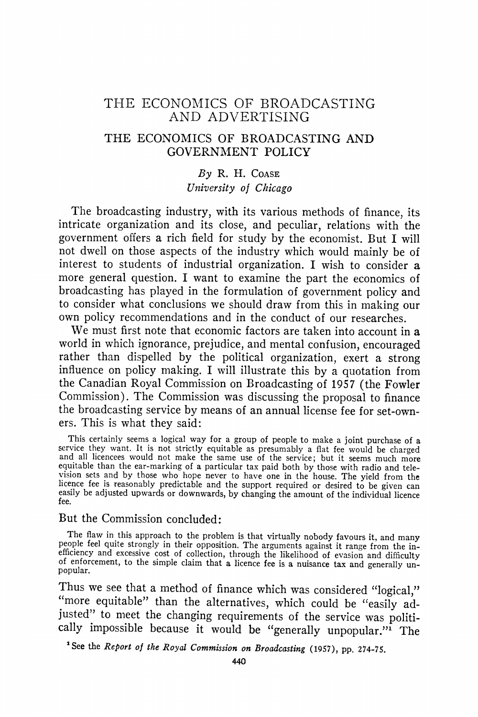## **THE ECONOMICS OF BROADCASTING AND ADVERTISING**

### **THE ECONOMICS OF BROADCASTING AND GOVERNAIENT POLICY**

## **By R. H. COASE University of Chicago**

**The broadcasting industry, with its various methods of finance, its intricate organization and its close, and peculiar, relations with the government offers a rich field for study by the economist. But I will not dwell on those aspects of the industry which would mainly be of interest to students of industrial organization. I wish to consider a more general question. I want to examine the part the economics of broadcasting has played in the formulation of government policy and to consider what conclusions we should draw from this in making our own policy recommendations and in the conduct of our researches.** 

**We must first note that economic factors are taken into account in a world in which ignorance, prejudice, and mental confusion, encouraged rather than dispelled by the political organization, exert a strong influence on policy mnaking. I will illustrate this by a quotation from the Canadian Royal Commission on Broadcasting of 1957 (the Fowler Commission). The Commission was discussing the proposal to finance the broadcasting service by means of an annual license fee for set-owners. This is what they said:** 

**This certainly seems a logical way for a group of people to make a joint purchase of a service they want. It is not strictly equitable as presumably a flat fee would be charged and all licencees would not make the same use of the service; but it seems much more equitable than the ear-marking of a particular tax paid both by those with radio and television sets and by those who hope never to have one in the house. The yield from the**  licence fee is reasonably predictable and the support required or desired to be given can **easily be adjusted upwards or downwards, by changing the amount of the individual licence fee.** 

#### **But the Commission concluded:**

**The flaw in this approach to the problem is that virtually nobody favours it, and many**  people feel quite strongly in their opposition. The arguments against it range from the in**efficiency and excessive cost of collection, through the likelihood of evasion and difficulty of enforcement, to the simple claim that a licence fee is a nuisance tax and generally unpopular.** 

**Thus we see that a method of finance which was considered "logical,"**  "more equitable" than the alternatives, which could be "easily ad**justed" to meet the changing requirements of the service was politically impossible because it would be "generally unpopular."' The** 

**'See the Report of the Royal Commission on Broadcasting (1957), pp. 274-75.**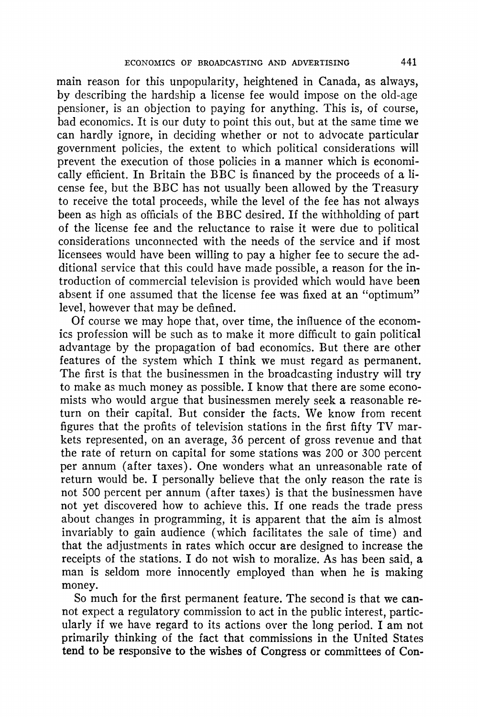**main reason for this unpopularity, heightened in Canada, as always, by describing the hardship a license fee would impose on the old-age pensioner, is an objection to paying for anything. This is, of course, bad economics. It is our duty to point this out, but at the same time we can hardly ignore, in deciding whether or not to advocate particular government policies, the extent to which political considerations will prevent the execution of those policies in a manner which is economically efficient. In Britain the BBC is financed by the proceeds of a license fee, but the BBC has not usually been allowed by the Treasury to receive the total proceeds, while the level of the fee has not always been as high as officials of the BBC desired. If the withholding of part of the license fee and the reluctance to raise it were due to political considerations unconnected with the needs of the service and if most licensees would have been willing to pay a higher fee to secure the additional service that this could have made possible, a reason for the introduction of commercial television is provided which would have been absent if one assumed that the license fee was fixed at an "optimum" level, however that may be defined.** 

**Of course we may hope that, over time, the influence of the economics profession will be such as to make it more difficult to gain political advantage by the propagation of bad economics. But there are other features of the system which I think we must regard as permanent. The first is that the businessmen in the broadcasting industry will try to make as much money as possible. I know that there are some economists who would argue that businessmen merely seek a reasonable return on their capital. But consider the facts. We know from recent figures that the profits of television stations in the first fifty TV markets represented, on an average, 36 percent of gross revenue and that the rate of return on capital for some stations was 200 or 300 percent per annum (after taxes). One wonders what an unreasonable rate of return would be. I personally believe that the only reason the rate is not 500 percent per annum (after taxes) is that the businessmen have not yet discovered how to achieve this. If one reads the trade press about changes in programming, it is apparent that the aim is almost invariably to gain audience (which facilitates the sale of time) and that the adjustments in rates which occur are designed to increase the receipts of the stations. I do not wish to moralize. As has been said, a man is seldom more innocently employed than when he is making money.** 

**So much for the first permanent feature. The second is that we cannot expect a regulatory commission to act in the public interest, particularly if we have regard to its actions over the long period. I am not primarily thinking of the fact that commissions in the United States tend to be responsive to the wishes of Congress or committees of Con-**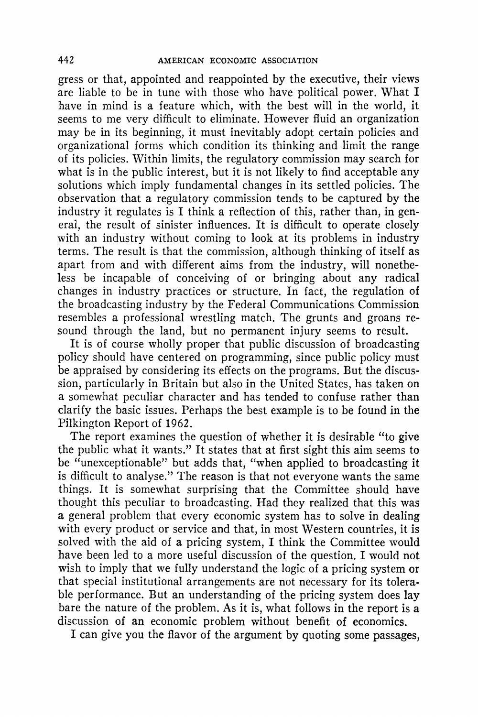**gress or that, appointed and reappointed by the executive, their views are liable to be in tune with those who have political power. What I have in mind is a feature which, with the best will in the world, it seems to me very difficult to eliminate. However fluid an organization may be in its beginning, it must inevitably adopt certain policies and organizational forms which condition its thinking and limit the range of its policies. Within limits, the regulatory commission may search for what is in the public interest, but it is not likely to find acceptable any solutions which imply fundamental changes in its settled policies. The observation that a regulatory commission tends to be captured by the industry it regulates is I think a reflection of this, rather than, in general, the result of sinister influences. It is difficult to operate closely with an industry without coming to look at its problems in industry terms. The result is that the commission, although thinking of itself as apart from and with different aims from the industry, will nonetheless be incapable of conceiving of or bringing about any radical changes in industry practices or structure. In fact, the regulation of the broadcasting industry by the Federal Communications Commission resembles a professional wrestling match. The grunts and groans resound through the land, but no permanent injury seems to result.** 

**It is of course wholly proper that public discussion of broadcasting policy should have centered on programming, since public policy must be appraised by considering its effects on the programs. But the discussion, particularly in Britain but also in the United States, has taken on a somewhat peculiar character and has tended to confuse rather than clarify the basic issues. Perhaps the best example is to be found in the Pilkington Report of 1962.** 

**The report examines the question of whether it is desirable "to give the public what it wants." It states that at first sight this aim seems to be "unexceptionable" but adds that, "when applied to broadcasting it is difficult to analyse." The reason is that not everyone wants the same things. It is somewhat surprising that the Committee should have thought this peculiar to broadcasting. Had they realized that this was a general problem that every economic system has to solve in dealing with every product or service and that, in most Western countries, it is solved with the aid of a pricing system, I think the Committee would have been led to a more useful discussion of the question. I would not wish to imply that we fully understand the logic of a pricing system or that special institutional arrangements are not necessary for its tolerable performance. But an understanding of the pricing system does lay bare the nature of the problem. As it is, what follows in the report is a discussion of an economic problem without benefit of economics.** 

**I can give you the flavor of the argument by quoting some passages,**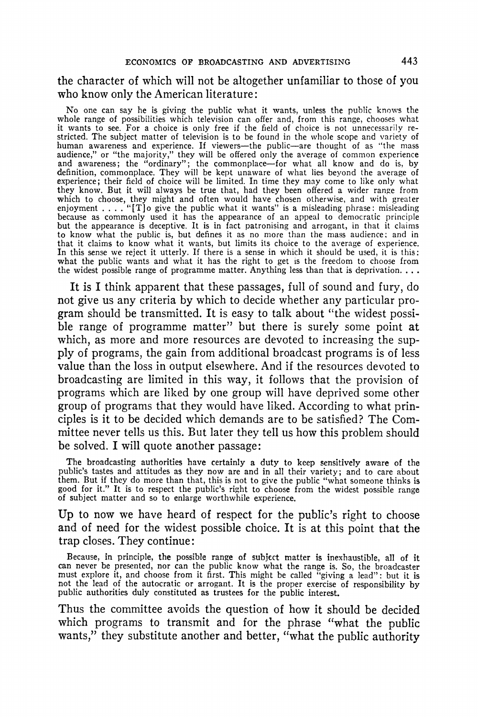**the character of which will not be altogether unfamiliar to those of you who know only the American literature:** 

No one can say he is giving the public what it wants, unless the public knows the<br>whole range of possibilities which television can offer and, from this range, chooses what<br>it wants to see. For a choice is only free if the **stricted. The subject matter of television is to be found in the whole scope and variety of human awareness and experience. If viewers-the public-are thought of as "the mass audience," or "the majority," they will be offered only the average of common experience and awareness; the "ordinary"; the commonplace-for what all know and do is, by**  definition, commonplace. They will be kept unaware of what lies beyond the average of<br>experience; their field of choice will be limited. In time they may come to like only what<br>they know. But it will always be true that, h **which to choose, they might and often would have chosen otherwise, and with greater enjoyment .... "[T]o give the public what it wants" is a misleading phrase: misleading because as commonly used it has the appearance of an appeal to democratic principle**  but the appearance is deceptive. It is in fact patronising and arrogant, in that it claims<br>to know what the public is, but defines it as no more than the mass audience; and in<br>that it claims to know what it wants, but limi **what the public wants and what it has the right to get is the freedom to choose from the widest possible range of programme matter. Anything less than that is deprivation.** 

**It is I think apparent that these passages, full of sound and fury, do not give us any criteria by which to decide whether any particular program should be transmitted. It is easy to talk about "the widest possible range of programme matter" but there is surely some point at**  which, as more and more resources are devoted to increasing the sup**ply of programs, the gain from additional broadcast programs is of less value than the loss in output elsewhere. And if the resources devoted to broadcasting are limited in this way, it follows that the provision of programs which are liked by one group will have deprived some other group of programs that they would have liked. According to what principles is it to be decided which demands are to be satisfied? The Committee never tells us this. But later they tell us how this problem should be solved. I will quote another passage:** 

**The broadcasting authorities have certainly a duty to keep sensitively aware of the public's tastes and attitudes as they now are and in all their variety; and to care about them. But if they do more than that, this is not to give the public "what someone thinks is good for it." It is to respect the public's right to choose from the widest possible range of subject matter and so to enlarge worthwhile experience.** 

**Up to now we have heard of respect for the public's right to choose and of need for the widest possible choice. It is at this point that the trap closes. They continue:** 

**Because, in principle, the possible range of subjcct matter is inexhaustible, all of it can never be presented, nor can the public know what the range is. So, the broadcaster must explore it, and choose from it first. This might be called "giving a lead": but it is not the lead of the autocratic or arrogant. It is the proper exercise of responsibility by public authorities duly constituted as trustees for the public interest.** 

**Thus the committee avoids the question of how it should be decided which programs to transmit and for the phrase "what the public wants," they substitute another and better, "what the public authority**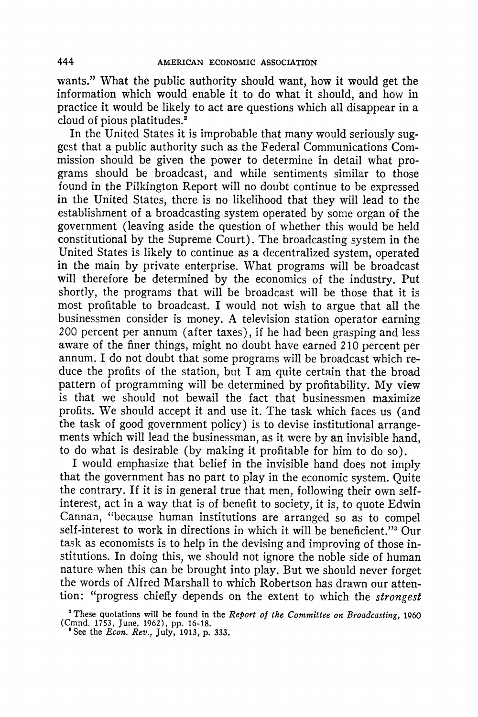**wants." What the public authority should want, how it would get the information which would enable it to do what it should, and how in practice it would be likely to act are questions which all disappear in a cloud of pious platitudes.2** 

**In the United States it is improbable that many would seriously suggest that a public authority such as the Federal Communications Commission should be given the power to determine in detail what programs should be broadcast, and while sentiments similar to those found in the Pilkington Report will no doubt continue to be expressed in the United States, there is no likelihood that they will lead to the establishment of a broadcasting system operated by some organ of the government (leaving aside the question of whether this would be held constitutional by the Supreme Court). The broadcasting system in the United States is likely to continue as a decentralized system, operated in the main by private enterprise. What programs will be broadcast will therefore be determined by the economics of the industry. Put shortly, the programs that will be broadcast will be those that it is most profitable to broadcast. I would not wish to argue that all the businessmen consider is money. A television station operator earning, 200 percent per annum (after taxes), if he had been grasping and less aware of the finer things, might no doubt have earned 210 percent per annum. I do not doubt that some programs will be broadcast which reduce the profits of the station, but I am quite certain that the broad pattern of programming will be determined by profitability. My view is that we should not bewail the fact that businessmen maximize profits. We should accept it and use it. The task which faces us (and the task of good government policy) is to devise institutional arrange**ments which will lead the businessman, as it were by an invisible hand. to do what is desirable (by making it profitable for him to do so).

**I would emphasize that belief in the invisible hand does not imply that the government has no part to play in the economic system. Quite the contrary. If it is in general true that men, following their own selfinterest, act in a way that is of benefit to society, it is, to quote Edwin Cannan, "because human institutions are arranged so as to compel self-interest to work in directions in which it will be beneficient."3 Our task as economists is to help in the devising and improving of those institutions. In doing this, we should not ignore the noble side of human nature when this can be brought into play. But we should never forget the words of Alfred Marshall to which Robertson has drawn our attention: "progress chiefly depends on the extent to which the strongest** 

<sup>2</sup> These quotations will be found in the Report of the Committee on Broadcasting, 1960 **(Cmnd. 1753, June, 1962), pp. 16-18.** 

**'See the Econ. Rev., July, 1913, p. 333.**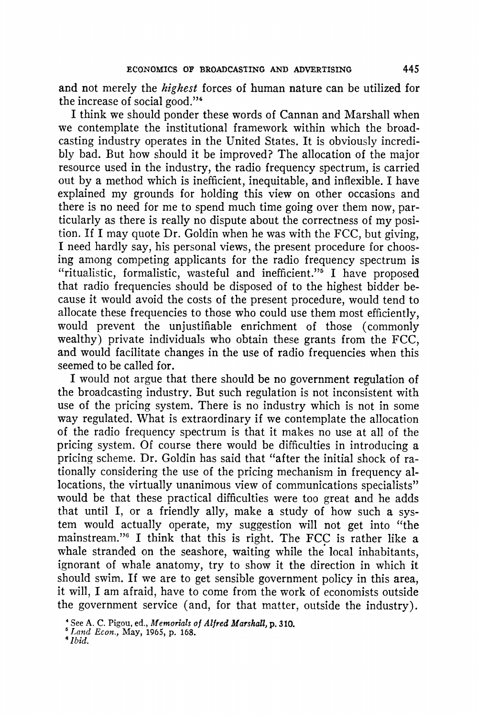**and not merely the highest forces of human nature can be utilized for the increase of social good."4** 

**I think we should ponder these words of Cannan and Marshall when we contemplate the institutional framework within which the broadcasting industry operates in the United States. It is obviously incredibly bad. But how should it be improved? The allocation of the major resource used in the industry, the radio frequency spectrum, is carried out by a method which is inefficient, inequitable, and inflexible. I have explained my grounds for holding this view on other occasions and there is no need for me to spend much time going over them now, particularly as there is really no dispute about the correctness of my position. If I may quote Dr. Goldin when he was with the FCC, but giving, I need hardly say, his personal views, the present procedure for choosing among competing applicants for the radio frequency spectrum is "ritualistic, formalistic, wasteful and inefficient."5 I have proposed that radio frequencies should be disposed of to the highest bidder because it would avoid the costs of the present procedure, would tend to allocate these frequencies to those who could use them most efficiently, would prevent the unjustifiable enrichment of those (commonly wealthy) private individuals who obtain these grants from the FCC, and would facilitate changes in the use of radio frequencies when this seemed to be called for.** 

**I would not argue that there should be no government regulation of the broadcasting industry. But such regulation is not inconsistent with use of the pricing system. There is no industry which is not in some way regulated. What is extraordinary if we contemplate the allocation of the radio frequency spectrum is that it makes no use at all of the pricing system. Of course there would be difficulties in introducing a pricing scheme. Dr. Goldin has said that "after the initial shock of rationally considering the use of the pricing mechanism in frequency allocations, the virtually unanimous view of communications specialists" would be that these practical difficulties were too great and he adds that until I, or a friendly ally, make a study of how such a system would actually operate, my suggestion will not get into "the mainstream."6 I think that this is right. The FCC is rather like a whale stranded on the seashore, waiting while the local inhabitants, ignorant of whale anatomy, try to show it the direction in which it should swim. If we are to get sensible government policy in this area, it will, I am afraid, have to come from the work of economists outside the government service (and, for that matter, outside the industry).** 

**<sup>&#</sup>x27;See A. C. Pigou, ed., Memorials of Alfred Marshall, p. 310. 'Land Econ., May, 1965, p. 168.** 

**e lbid.**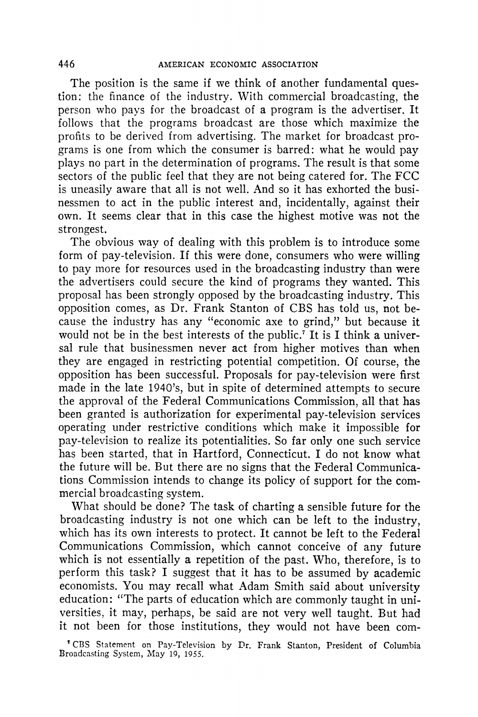**The position is the same if we think of another fundamental question: the finance of the industry. With commercial broadcasting, the person who pays for the broadcast of a program is the advertiser. It follows that the programs broadcast are those which maximize the profits to be derived from advertising. The market for broadcast programs is one from which the consumer is barred: what he would pay plays no part in the determination of programs. The result is that some sectors of the public feel that they are not being catered for. The FCC is uneasily aware that all is not well. And so it has exhorted the businessmen to act in the public interest and, incidentally, against their own. It seems clear that in this case the highest motive was not the strongest.** 

**The obvious way of dealing with this problem is to introduce some form of pay-television. If this were done, consumers who were willing to pay more for resources used in the broadcasting industry than were the advertisers could secure the kind of programs they wanted. This proposal has been strongly opposed by the broadcasting industry. This opposition comes, as Dr. Frank Stanton of CBS has told us, not because the industry has any "economic axe to grind," but because it would not be in the best interests of the public.7 It is I think a universal rule that businessmen never act from higher motives than when they are engaged in restricting potential competition. Of course, the opposition has been successful. Proposals for pay-television were first made in the late 1940's, but in spite of determined attempts to secure the approval of the Federal Communications Commission, all that has been granted is authorization for experimental pay-television services operating under restrictive conditions which make it impossible for pay-television to realize its potentialities. So far only one such service has been started, that in Hartford, Connecticut. I do not know what the future will be. But there are no signs that the Federal Communications Commission intends to change its policy of support for the commercial broadcasting system.** 

**What should be done? The task of charting a sensible future for the broadcasting industry is not one which can be left to the industry, which has its own interests to protect. It cannot be left to the Federal Communications Commission, which cannot conceive of any future which is not essentially a repetition of the past. Who, therefore, is to perform this task? I suggest that it has to be assumed by academic economists. You may recall what Adam Smith said about university education: "The parts of education which are commonly taught in universities, it may, perhaps, be said are not very well taught. But had it not been for those institutions, they would not have been com-** 

**<sup>&#</sup>x27; CBS Statement on Pay-Television by Dr. Frank Stanton, President of Columbia Broadcasting System, May 19, 1955.**